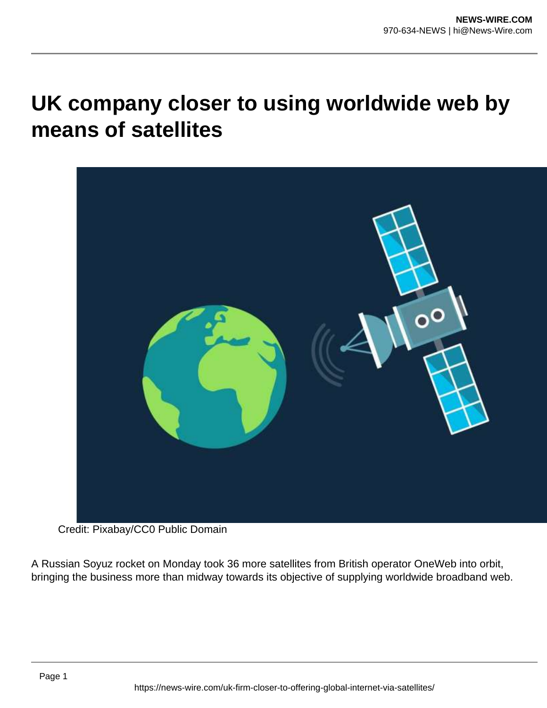## **UK company closer to using worldwide web by means of satellites**



Credit: Pixabay/CC0 Public Domain

A Russian Soyuz rocket on Monday took 36 more satellites from British operator OneWeb into orbit, bringing the business more than midway towards its objective of supplying worldwide broadband web.